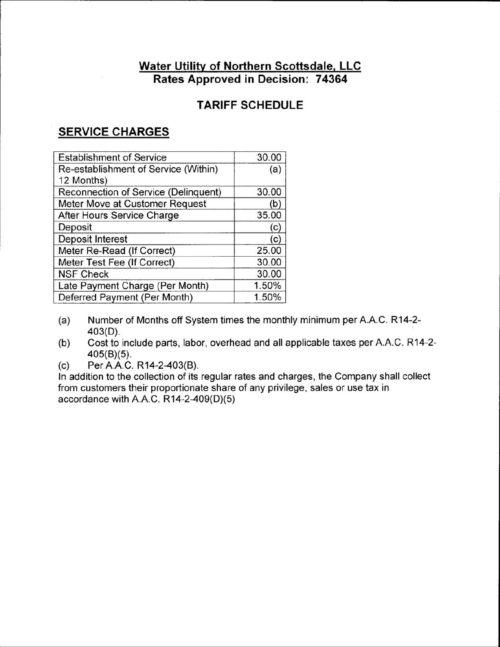## **Water Utility of Northern Scottsdale, LLC Rates Approved in Decision: 74364**

# **TARIFF SCHEDULE**

# **SERVICE CHARGES**

| <b>Establishment of Service</b>      | 30.00 |
|--------------------------------------|-------|
| Re-establishment of Service (Within) | (a)   |
| 12 Months)                           |       |
| Reconnection of Service (Delinquent) | 30.00 |
| Meter Move at Customer Request       | (b)   |
| After Hours Service Charge           | 35.00 |
| Deposit                              | (c)   |
| Deposit Interest                     | (c)   |
| Meter Re-Read (If Correct)           | 25.00 |
| Meter Test Fee (If Correct)          | 30.00 |
| <b>NSF Check</b>                     | 30.00 |
| Late Payment Charge (Per Month)      | 1.50% |
| Deferred Payment (Per Month)         | 1.50% |

- (a) Number of Months off System times the monthly minimum per A.A.C. R14-2- 403(D).
- (b) Cost to include parts, labor, overhead and all applicable taxes per A.A.C. R14-2- 405(B)(5).
- (c) Per A.A.C. R14-2-403(B).

In addition to the collection of its regular rates and charges, the Company shall collect from customers their proportionate share of any privilege, sales or use tax in accordance with A.A.C. R14-2-409(D)(5)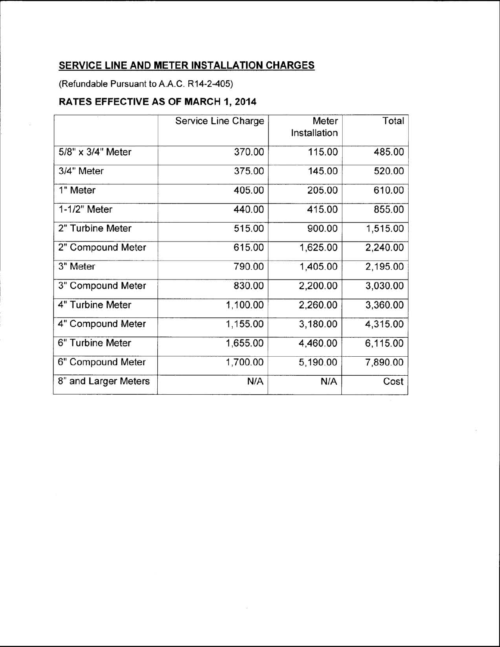### **SERVICE LINE AND METER INSTALLATION CHARGES**

(Refundable Pursuant to**A.A.C.**R14-2-405)

## **RATES EFFECTIVE AS OF MARCH 1, 2014**

|                      | Service Line Charge | Meter<br>Installation | Total    |
|----------------------|---------------------|-----------------------|----------|
| 5/8" x 3/4" Meter    | 370.00              | 115.00                | 485.00   |
| 3/4" Meter           | 375.00              | 145.00                | 520.00   |
| 1" Meter             | 405.00              | 205.00                | 610.00   |
| 1-1/2" Meter         | 440.00              | 415.00                | 855.00   |
| 2" Turbine Meter     | 515.00              | 900.00                | 1,515.00 |
| 2" Compound Meter    | 615.00              | 1,625.00              | 2,240.00 |
| 3" Meter             | 790.00              | 1,405.00              | 2,195.00 |
| 3" Compound Meter    | 830.00              | 2,200.00              | 3,030.00 |
| 4" Turbine Meter     | 1,100.00            | 2,260.00              | 3,360.00 |
| 4" Compound Meter    | 1,155.00            | 3,180.00              | 4,315.00 |
| 6" Turbine Meter     | 1,655.00            | 4,460.00              | 6,115.00 |
| 6" Compound Meter    | 1,700.00            | 5,190.00              | 7,890.00 |
| 8" and Larger Meters | N/A                 | N/A                   | Cost     |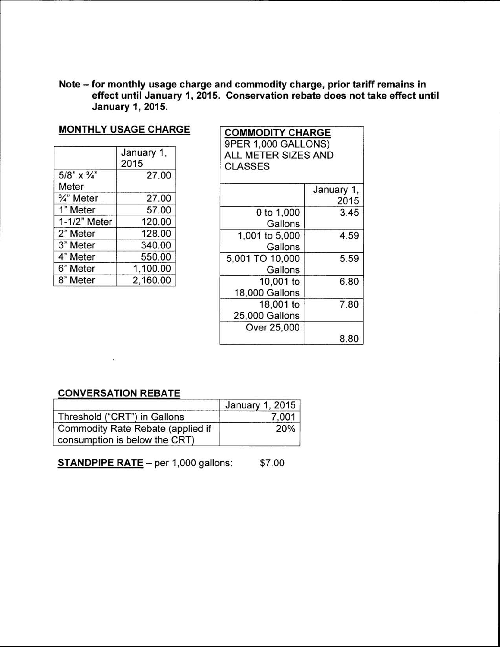Note - for monthly usage charge and commodity charge, prior tariff remains in effect until January 1, 2015. Conservation rebate does not take effect until January 1, 2015.

#### MONTHLY USAGE CHARGE

|                                           | January 1,<br>2015 |
|-------------------------------------------|--------------------|
| $5/8$ " $\times$ $\frac{3}{4}$ "<br>Meter | 27.00              |
| 3/4" Meter                                | 27.00              |
| 1" Meter                                  | 57.00              |
| 1-1/2" Meter                              | 120.00             |
| 2" Meter                                  | 128.00             |
| 3" Meter                                  | 340.00             |
| 4" Meter                                  | 550.00             |
| 6" Meter                                  | 1,100.00           |
| 8" Meter                                  | 2,160.00           |

| <b>GE CHARGE</b> |                                       | <b>COMMODITY CHARGE</b><br>9PER 1,000 GALLONS) |  |
|------------------|---------------------------------------|------------------------------------------------|--|
| nuary 1,<br>15   | ALL METER SIZES AND<br><b>CLASSES</b> |                                                |  |
| 27.00            |                                       |                                                |  |
|                  |                                       | January 1,                                     |  |
| 27.00            |                                       | 2015                                           |  |
| 57.00            | 0 to 1,000                            | 3.45                                           |  |
| 120.00           | Gallons                               |                                                |  |
| 128.00           | 1,001 to 5,000                        | 4.59                                           |  |
| 340.00           | Gallons                               |                                                |  |
| 550.00           | 5,001 TO 10,000                       | 5.59                                           |  |
| 1,100.00         | Gallons                               |                                                |  |
| 2,160.00         | 10,001 to                             | 6.80                                           |  |
|                  | 18,000 Gallons                        |                                                |  |
|                  | 18,001 to                             | 7.80                                           |  |
|                  | 25,000 Gallons                        |                                                |  |
|                  | Over 25,000                           |                                                |  |
|                  |                                       | 8.80                                           |  |

#### CONVERSATION REBATE

 $\sim 100$ 

|                                                                    | January 1, 2015 |
|--------------------------------------------------------------------|-----------------|
| Threshold ("CRT") in Gallons                                       | 7.001           |
| Commodity Rate Rebate (applied if<br>consumption is below the CRT) | 20%             |

STANDPIPE RATE - per 1,000 gallons: \$7.00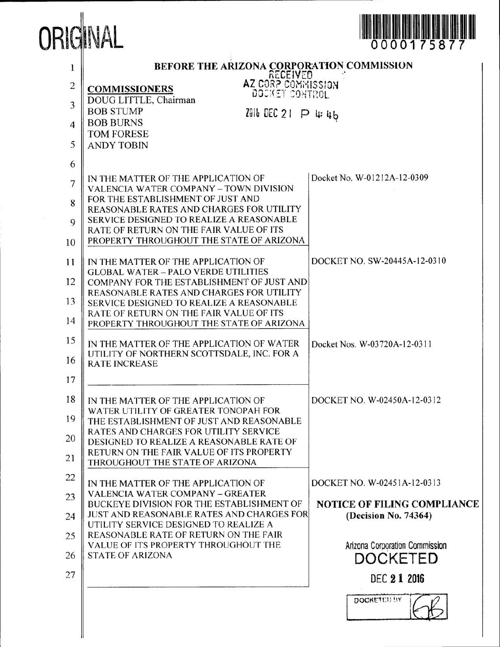

| $\mathbf{1}$   | BEFORE THE ARIZONA CORPORATION COMMISSION                                                 |                                |
|----------------|-------------------------------------------------------------------------------------------|--------------------------------|
| $\overline{c}$ | <b>AZ CORP COMMISSION</b><br><b>AZ CORP COMMISSION</b><br><b>COMMISSIONERS</b>            |                                |
| 3              | DOUG LITTLE, Chairman<br><b>BOB STUMP</b><br>2016 DEC 21 P 4:46                           |                                |
| $\overline{4}$ | <b>BOB BURNS</b><br><b>TOM FORESE</b>                                                     |                                |
| 5              | <b>ANDY TOBIN</b>                                                                         |                                |
| 6              |                                                                                           |                                |
| $\overline{7}$ | IN THE MATTER OF THE APPLICATION OF<br>VALENCIA WATER COMPANY - TOWN DIVISION             | Docket No. W-01212A-12-0309    |
| 8              | FOR THE ESTABLISHMENT OF JUST AND<br>REASONABLE RATES AND CHARGES FOR UTILITY             |                                |
| 9              | SERVICE DESIGNED TO REALIZE A REASONABLE<br>RATE OF RETURN ON THE FAIR VALUE OF ITS       |                                |
| 10             | PROPERTY THROUGHOUT THE STATE OF ARIZONA                                                  |                                |
| 11             | IN THE MATTER OF THE APPLICATION OF<br><b>GLOBAL WATER - PALO VERDE UTILITIES</b>         | DOCKET NO. SW-20445A-12-0310   |
| 12             | COMPANY FOR THE ESTABLISHMENT OF JUST AND                                                 |                                |
| 13             | REASONABLE RATES AND CHARGES FOR UTILITY<br>SERVICE DESIGNED TO REALIZE A REASONABLE      |                                |
| 14             | RATE OF RETURN ON THE FAIR VALUE OF ITS<br>PROPERTY THROUGHOUT THE STATE OF ARIZONA       |                                |
| 15             | IN THE MATTER OF THE APPLICATION OF WATER                                                 | Docket Nos. W-03720A-12-0311   |
| 16             | UTILITY OF NORTHERN SCOTTSDALE, INC. FOR A<br><b>RATE INCREASE</b>                        |                                |
| 17             |                                                                                           |                                |
| 18             | IN THE MATTER OF THE APPLICATION OF<br>WATER UTILITY OF GREATER TONOPAH FOR               | DOCKET NO. W-02450A-12-0312    |
| 19             | THE ESTABLISHMENT OF JUST AND REASONABLE<br>RATES AND CHARGES FOR UTILITY SERVICE         |                                |
| 20             | DESIGNED TO REALIZE A REASONABLE RATE OF                                                  |                                |
| 21             | RETURN ON THE FAIR VALUE OF ITS PROPERTY<br>THROUGHOUT THE STATE OF ARIZONA               |                                |
| 22             | IN THE MATTER OF THE APPLICATION OF                                                       | DOCKET NO. W-02451A-12-0313    |
| 23             | <b>VALENCIA WATER COMPANY - GREATER</b><br>BUCKEYE DIVISION FOR THE ESTABLISHMENT OF      | NOTICE OF FILING COMPLIANCE    |
| 24             | <b>JUST AND REASONABLE RATES AND CHARGES FOR</b><br>UTILITY SERVICE DESIGNED TO REALIZE A | (Decision No. 74364)           |
| 25             | REASONABLE RATE OF RETURN ON THE FAIR<br>VALUE OF ITS PROPERTY THROUGHOUT THE             | Arizona Corporation Commission |
| 26             | <b>STATE OF ARIZONA</b>                                                                   | DOCKETED                       |
| 27             |                                                                                           | DEC 2 1 2016                   |
|                |                                                                                           | <b>DOCKETED IIY</b>            |
|                |                                                                                           |                                |
|                |                                                                                           |                                |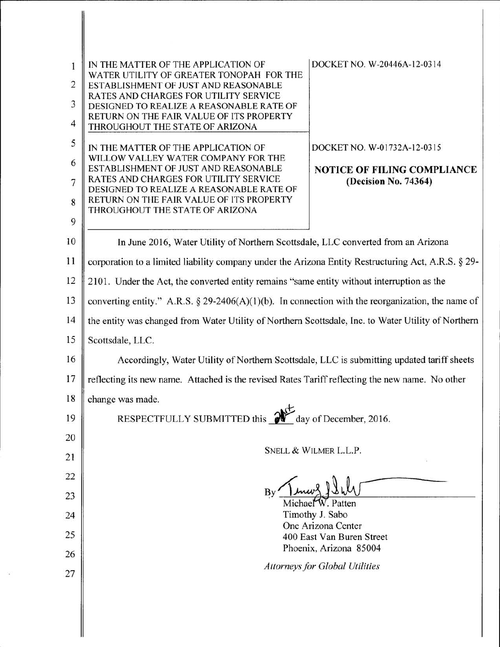| 1<br>$\overline{2}$ | DOCKET NO. W-20446A-12-0314<br>IN THE MATTER OF THE APPLICATION OF<br>WATER UTILITY OF GREATER TONOPAH FOR THE<br>ESTABLISHMENT OF JUST AND REASONABLE |  |
|---------------------|--------------------------------------------------------------------------------------------------------------------------------------------------------|--|
| 3                   | RATES AND CHARGES FOR UTILITY SERVICE<br>DESIGNED TO REALIZE A REASONABLE RATE OF                                                                      |  |
| $\overline{4}$      | RETURN ON THE FAIR VALUE OF ITS PROPERTY<br>THROUGHOUT THE STATE OF ARIZONA                                                                            |  |
| 5                   | DOCKET NO. W-01732A-12-0315<br>IN THE MATTER OF THE APPLICATION OF                                                                                     |  |
| 6                   | WILLOW VALLEY WATER COMPANY FOR THE<br>ESTABLISHMENT OF JUST AND REASONABLE<br><b>NOTICE OF FILING COMPLIANCE</b>                                      |  |
| $\overline{7}$      | RATES AND CHARGES FOR UTILITY SERVICE<br>(Decision No. 74364)<br>DESIGNED TO REALIZE A REASONABLE RATE OF                                              |  |
| 8                   | RETURN ON THE FAIR VALUE OF ITS PROPERTY<br>THROUGHOUT THE STATE OF ARIZONA                                                                            |  |
| 9                   |                                                                                                                                                        |  |
| 10                  | In June 2016, Water Utility of Northern Scottsdale, LLC converted from an Arizona                                                                      |  |
| 11                  | corporation to a limited liability company under the Arizona Entity Restructuring Act, A.R.S. § 29-                                                    |  |
| 12                  | 2101. Under the Act, the converted entity remains "same entity without interruption as the                                                             |  |
| 13                  | converting entity." A.R.S. § 29-2406(A)(1)(b). In connection with the reorganization, the name of                                                      |  |
| 14                  | the entity was changed from Water Utility of Northern Scottsdale, Inc. to Water Utility of Northern                                                    |  |
| 15                  | Scottsdale, LLC.                                                                                                                                       |  |
| 16                  | Accordingly, Water Utility of Northern Scottsdale, LLC is submitting updated tariff sheets                                                             |  |
| 17                  | reflecting its new name. Attached is the revised Rates Tariff reflecting the new name. No other                                                        |  |
| 18                  | change was made.                                                                                                                                       |  |
| 19                  | RESPECTFULLY SUBMITTED this 2<br>day of December, 2016.                                                                                                |  |
| 20                  |                                                                                                                                                        |  |
| 21                  | SNELL & WILMER L.L.P.                                                                                                                                  |  |
| 22                  |                                                                                                                                                        |  |
| 23                  | Michael W. Patten                                                                                                                                      |  |
| 24                  | Timothy J. Sabo<br>One Arizona Center                                                                                                                  |  |
| 25                  | 400 East Van Buren Street                                                                                                                              |  |
| 26                  | Phoenix, Arizona 85004                                                                                                                                 |  |
| 27                  | <b>Attorneys for Global Utilities</b>                                                                                                                  |  |
|                     |                                                                                                                                                        |  |

I II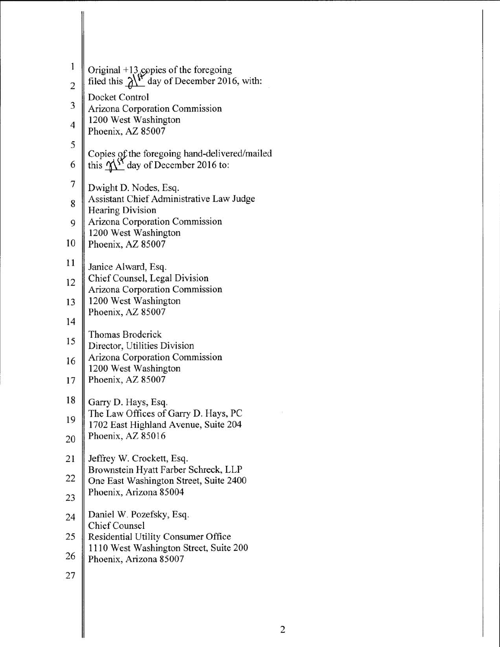| $\mathbf{1}$            |                                                                                                         |
|-------------------------|---------------------------------------------------------------------------------------------------------|
| $\overline{\mathbf{c}}$ | Original +13 copies of the foregoing<br>filed this $\lambda^{\prime\prime}$ day of December 2016, with: |
| $\overline{\mathbf{3}}$ | Docket Control<br>Arizona Corporation Commission                                                        |
| $\frac{4}{5}$           | 1200 West Washington<br>Phoenix, AZ 85007                                                               |
|                         | Copies of the foregoing hand-delivered/mailed                                                           |
| 6                       | this $M5$ day of December 2016 to:                                                                      |
| $\overline{7}$          | Dwight D. Nodes, Esq.                                                                                   |
| 8                       | Assistant Chief Administrative Law Judge<br><b>Hearing Division</b>                                     |
| 9                       | Arizona Corporation Commission<br>1200 West Washington                                                  |
| 10                      | Phoenix, AZ 85007                                                                                       |
| 11                      | Janice Alward, Esq.                                                                                     |
| 12                      | Chief Counsel, Legal Division<br>Arizona Corporation Commission                                         |
| 13                      | 1200 West Washington                                                                                    |
| 14                      | Phoenix, AZ 85007                                                                                       |
| 15                      | Thomas Broderick<br>Director, Utilities Division                                                        |
| 16                      | Arizona Corporation Commission<br>1200 West Washington                                                  |
| 17                      | Phoenix, AZ 85007                                                                                       |
| 18                      | Garry D. Hays, Esq.                                                                                     |
| 19                      | The Law Offices of Garry D. Hays, PC<br>1702 East Highland Avenue, Suite 204                            |
| 20                      | Phoenix, AZ 85016                                                                                       |
| 21                      | Jeffrey W. Crockett, Esq.                                                                               |
| 22                      | Brownstein Hyatt Farber Schreck, LLP<br>One East Washington Street, Suite 2400                          |
| 23                      | Phoenix, Arizona 85004                                                                                  |
| 24                      | Daniel W. Pozefsky, Esq.<br><b>Chief Counsel</b>                                                        |
| 25                      | Residential Utility Consumer Office                                                                     |
| 26                      | 1110 West Washington Street, Suite 200<br>Phoenix, Arizona 85007                                        |
| 27                      |                                                                                                         |